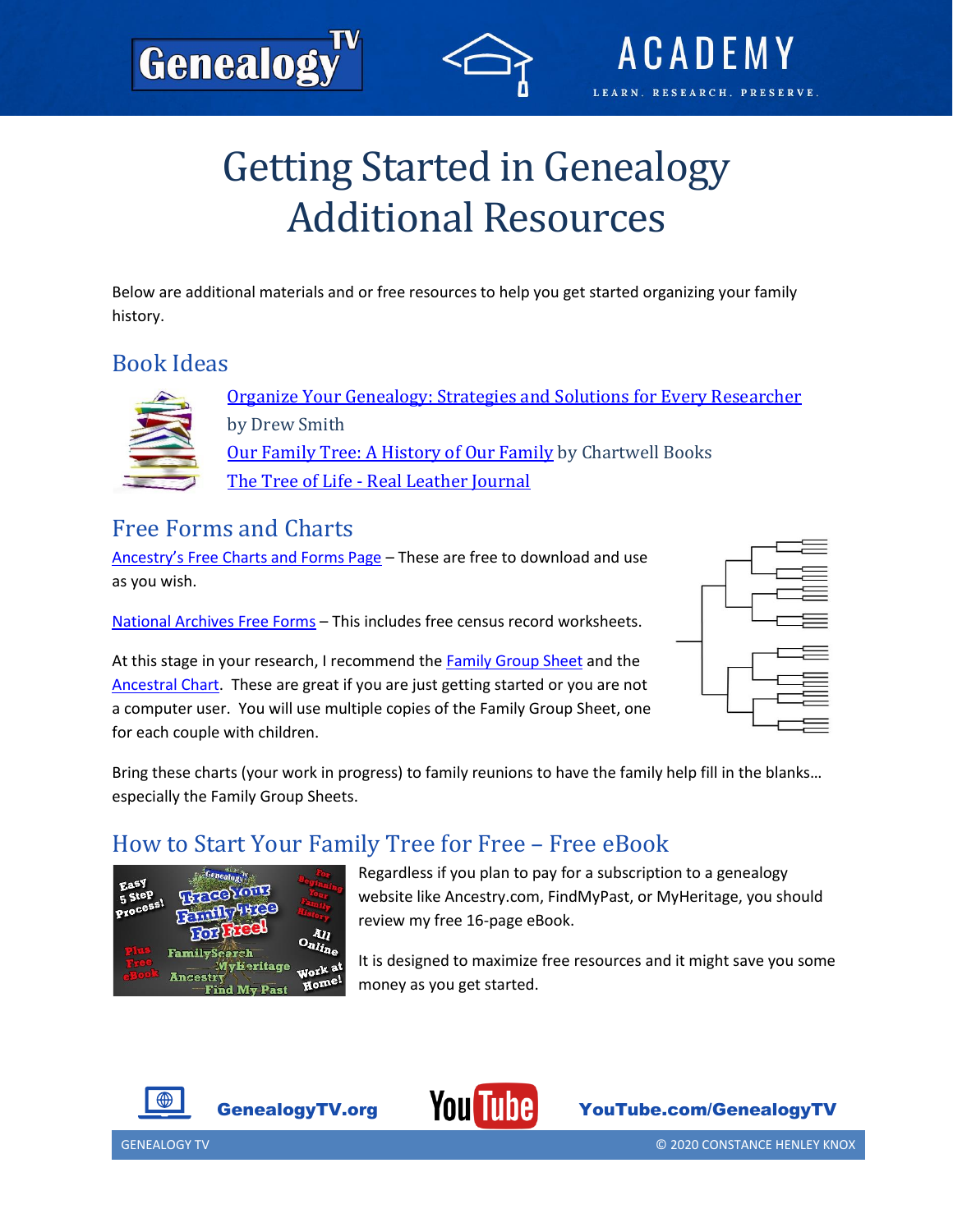# Getting Started in Genealogy Additional Resources

Below are additional materials and or free resources to help you get started organizing your family history.

#### Book Ideas



[Organize Your Genealogy: Strategies and Solutions for Every Researcher](https://amzn.to/3k9w6X3) by Drew Smith [Our Family Tree: A History of Our Family](https://amzn.to/3peZPl9) by Chartwell Books The Tree of Life - [Real Leather Journal](https://amzn.to/35elvWG)

### Free Forms and Charts

Genealog

[Ancestry's Free Charts and Forms Page](https://www.ancestry.com/cs/charts-and-forms?_ga=2.105674048.253166650.1604781117-214601633.1603477759) – These are free to download and use as you wish.

[National Archives Free Forms](https://www.archives.gov/research/genealogy/charts-forms) – This includes free census record worksheets.

At this stage in your research, I recommend the [Family Group Sheet](https://www.ancestrycdn.com/legacy/pdf/trees/charts/famgrec.pdf) and the [Ancestral Chart.](https://www.ancestrycdn.com/legacy/pdf/trees/charts/anchart.pdf) These are great if you are just getting started or you are not a computer user. You will use multiple copies of the Family Group Sheet, one for each couple with children.



**ACADE** 

RESEARCH, PRESERVE.

**IFADN** 

Bring these charts (your work in progress) to family reunions to have the family help fill in the blanks… especially the Family Group Sheets.

### How to Start Your Family Tree for Free – Free eBook



Regardless if you plan to pay for a subscription to a genealogy website like Ancestry.com, FindMyPast, or MyHeritage, you should review my free 16-page eBook.

It is designed to maximize free resources and it might save you some money as you get started.





GenealogyTV.org YouTube.com/GenealogyTV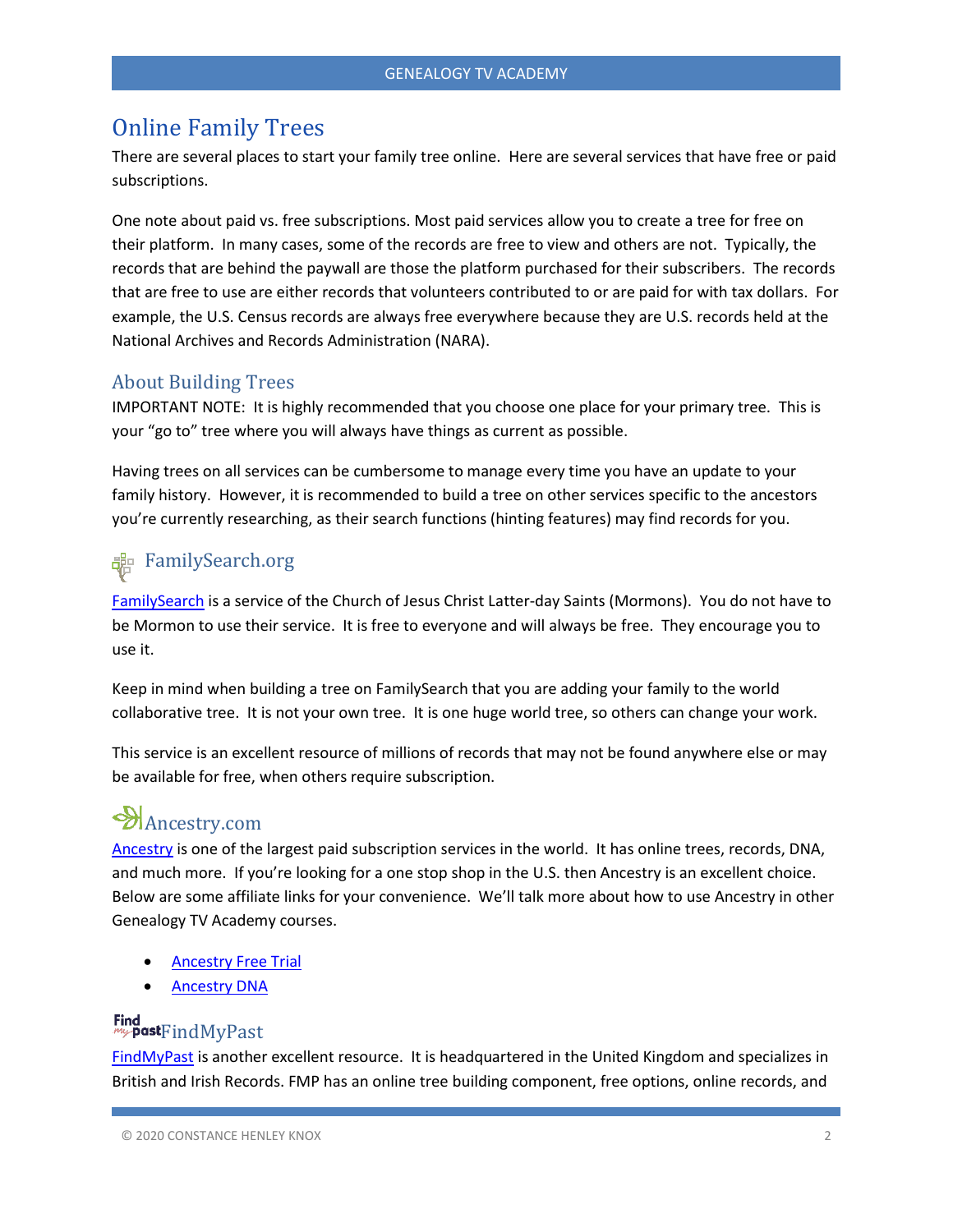#### Online Family Trees

There are several places to start your family tree online. Here are several services that have free or paid subscriptions.

One note about paid vs. free subscriptions. Most paid services allow you to create a tree for free on their platform. In many cases, some of the records are free to view and others are not. Typically, the records that are behind the paywall are those the platform purchased for their subscribers. The records that are free to use are either records that volunteers contributed to or are paid for with tax dollars. For example, the U.S. Census records are always free everywhere because they are U.S. records held at the National Archives and Records Administration (NARA).

#### About Building Trees

IMPORTANT NOTE: It is highly recommended that you choose one place for your primary tree. This is your "go to" tree where you will always have things as current as possible.

Having trees on all services can be cumbersome to manage every time you have an update to your family history. However, it is recommended to build a tree on other services specific to the ancestors you're currently researching, as their search functions (hinting features) may find records for you.

## **器 FamilySearch.org**

[FamilySearch](https://www.familysearch.org/en/) is a service of the Church of Jesus Christ Latter-day Saints (Mormons). You do not have to be Mormon to use their service. It is free to everyone and will always be free. They encourage you to use it.

Keep in mind when building a tree on FamilySearch that you are adding your family to the world collaborative tree. It is not your own tree. It is one huge world tree, so others can change your work.

This service is an excellent resource of millions of records that may not be found anywhere else or may be available for free, when others require subscription.

## Ancestry.com

[Ancestry](https://www.ancestry.com/cs/charts-and-forms?_ga=2.105674048.253166650.1604781117-214601633.1603477759) is one of the largest paid subscription services in the world. It has online trees, records, DNA, and much more. If you're looking for a one stop shop in the U.S. then Ancestry is an excellent choice. Below are some affiliate links for your convenience. We'll talk more about how to use Ancestry in other Genealogy TV Academy courses.

- [Ancestry Free Trial](https://prf.hn/click/camref:1101l4aFW/creativeref:1011l28781)
- [Ancestry DNA](https://prf.hn/click/camref:1101l4aFW/creativeref:1011l28282)

# Find<br>mypastFindMyPast

[FindMyPast](https://www.findmypast.com/) is another excellent resource. It is headquartered in the United Kingdom and specializes in British and Irish Records. FMP has an online tree building component, free options, online records, and